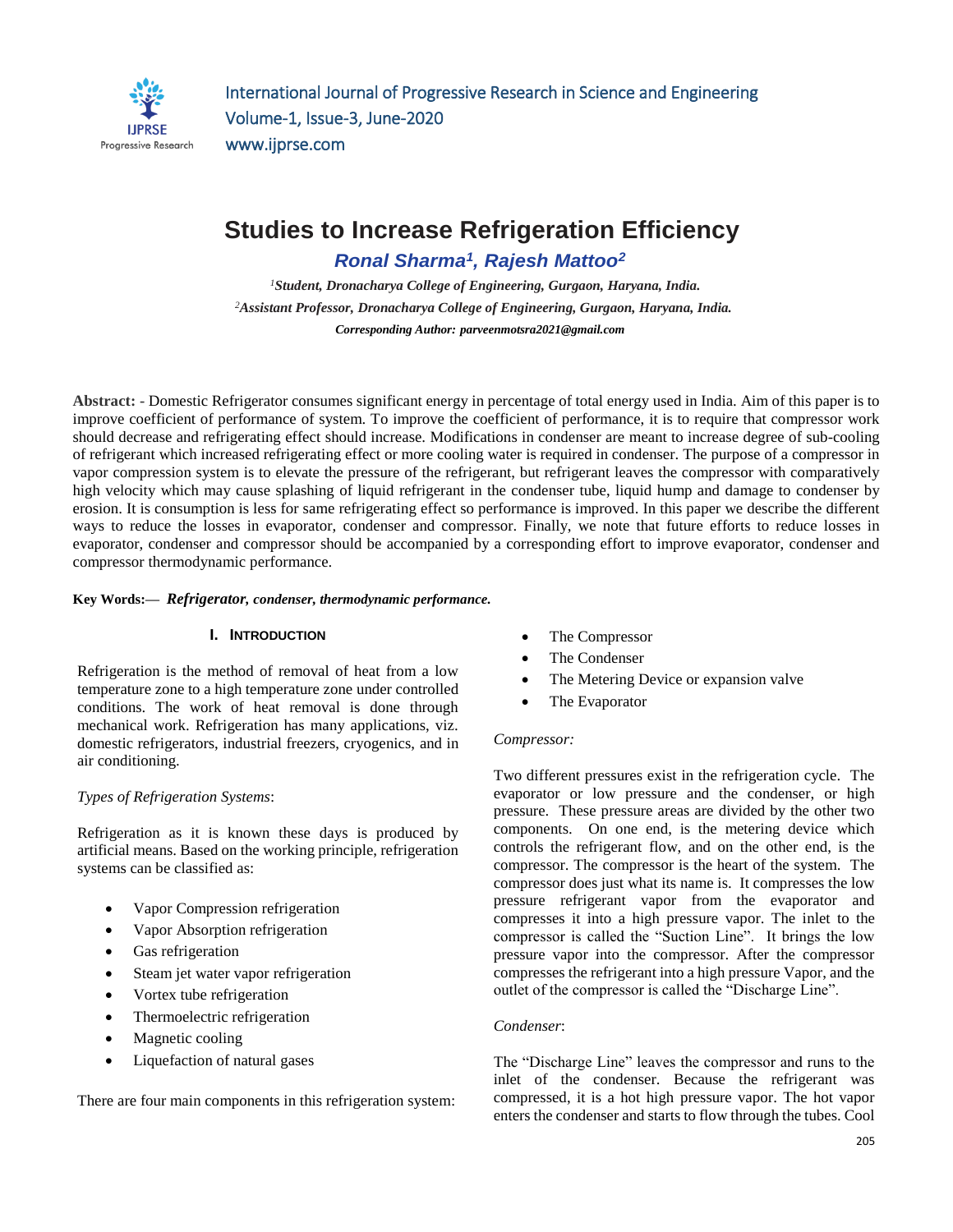

# **Studies to Increase Refrigeration Efficiency**

*Ronal Sharma<sup>1</sup> , Rajesh Mattoo<sup>2</sup>*

*<sup>1</sup>Student, Dronacharya College of Engineering, Gurgaon, Haryana, India. <sup>2</sup>Assistant Professor, Dronacharya College of Engineering, Gurgaon, Haryana, India. Corresponding Author: [parveenmotsra2021@gmail.com](mailto:parveenmotsra2021@gmail.com)*

**Abstract: -** Domestic Refrigerator consumes significant energy in percentage of total energy used in India. Aim of this paper is to improve coefficient of performance of system. To improve the coefficient of performance, it is to require that compressor work should decrease and refrigerating effect should increase. Modifications in condenser are meant to increase degree of sub-cooling of refrigerant which increased refrigerating effect or more cooling water is required in condenser. The purpose of a compressor in vapor compression system is to elevate the pressure of the refrigerant, but refrigerant leaves the compressor with comparatively high velocity which may cause splashing of liquid refrigerant in the condenser tube, liquid hump and damage to condenser by erosion. It is consumption is less for same refrigerating effect so performance is improved. In this paper we describe the different ways to reduce the losses in evaporator, condenser and compressor. Finally, we note that future efforts to reduce losses in evaporator, condenser and compressor should be accompanied by a corresponding effort to improve evaporator, condenser and compressor thermodynamic performance.

#### **Key Words:—** *Refrigerator, condenser, thermodynamic performance.*

# **I. INTRODUCTION**

Refrigeration is the method of removal of heat from a low temperature zone to a high temperature zone under controlled conditions. The work of heat removal is done through mechanical work. Refrigeration has many applications, viz. domestic refrigerators, industrial freezers, cryogenics, and in air conditioning.

# *Types of Refrigeration Systems*:

Refrigeration as it is known these days is produced by artificial means. Based on the working principle, refrigeration systems can be classified as:

- Vapor Compression refrigeration
- Vapor Absorption refrigeration
- Gas refrigeration
- Steam jet water vapor refrigeration
- Vortex tube refrigeration
- Thermoelectric refrigeration
- Magnetic cooling
- Liquefaction of natural gases

There are four main components in this refrigeration system:

- The Compressor
- The Condenser
- The Metering Device or expansion valve
- The Evaporator

# *Compressor:*

Two different pressures exist in the refrigeration cycle. The evaporator or low pressure and the condenser, or high pressure. These pressure areas are divided by the other two components. On one end, is the metering device which controls the refrigerant flow, and on the other end, is the compressor. The compressor is the heart of the system. The compressor does just what its name is. It compresses the low pressure refrigerant vapor from the evaporator and compresses it into a high pressure vapor. The inlet to the compressor is called the "Suction Line". It brings the low pressure vapor into the compressor. After the compressor compresses the refrigerant into a high pressure Vapor, and the outlet of the compressor is called the "Discharge Line".

# *Condenser*:

The "Discharge Line" leaves the compressor and runs to the inlet of the condenser. Because the refrigerant was compressed, it is a hot high pressure vapor. The hot vapor enters the condenser and starts to flow through the tubes. Cool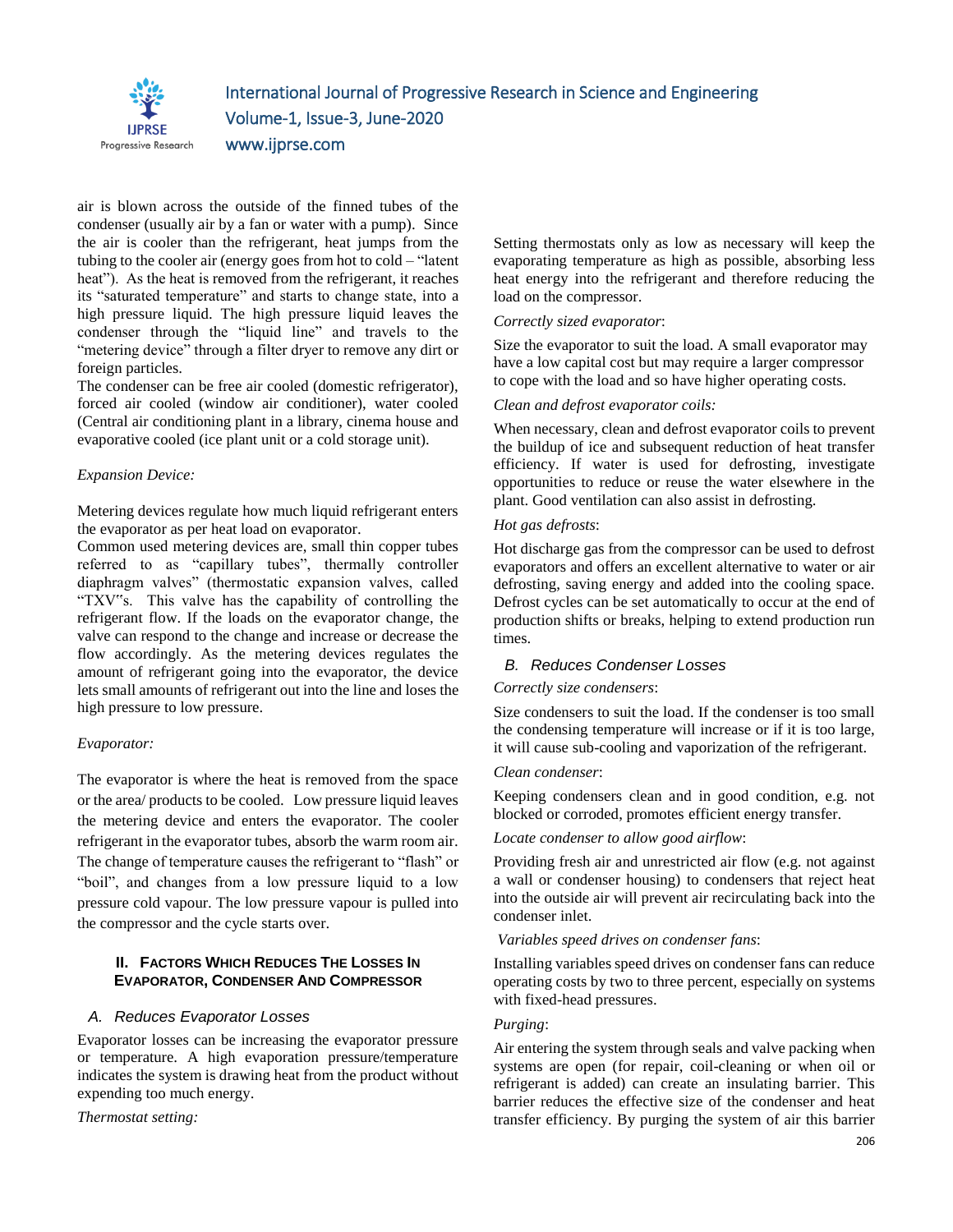

# International Journal of Progressive Research in Science and Engineering Volume-1, Issue-3, June-2020 www.ijprse.com

air is blown across the outside of the finned tubes of the condenser (usually air by a fan or water with a pump). Since the air is cooler than the refrigerant, heat jumps from the tubing to the cooler air (energy goes from hot to cold – "latent heat"). As the heat is removed from the refrigerant, it reaches its "saturated temperature" and starts to change state, into a high pressure liquid. The high pressure liquid leaves the condenser through the "liquid line" and travels to the "metering device" through a filter dryer to remove any dirt or foreign particles.

The condenser can be free air cooled (domestic refrigerator), forced air cooled (window air conditioner), water cooled (Central air conditioning plant in a library, cinema house and evaporative cooled (ice plant unit or a cold storage unit).

#### *Expansion Device:*

Metering devices regulate how much liquid refrigerant enters the evaporator as per heat load on evaporator.

Common used metering devices are, small thin copper tubes referred to as "capillary tubes", thermally controller diaphragm valves" (thermostatic expansion valves, called "TXV"s. This valve has the capability of controlling the refrigerant flow. If the loads on the evaporator change, the valve can respond to the change and increase or decrease the flow accordingly. As the metering devices regulates the amount of refrigerant going into the evaporator, the device lets small amounts of refrigerant out into the line and loses the high pressure to low pressure.

# *Evaporator:*

The evaporator is where the heat is removed from the space or the area/ products to be cooled. Low pressure liquid leaves the metering device and enters the evaporator. The cooler refrigerant in the evaporator tubes, absorb the warm room air. The change of temperature causes the refrigerant to "flash" or "boil", and changes from a low pressure liquid to a low pressure cold vapour. The low pressure vapour is pulled into the compressor and the cycle starts over.

# **II. FACTORS WHICH REDUCES THE LOSSES IN EVAPORATOR, CONDENSER AND COMPRESSOR**

# *A. Reduces Evaporator Losses*

Evaporator losses can be increasing the evaporator pressure or temperature. A high evaporation pressure/temperature indicates the system is drawing heat from the product without expending too much energy.

*Thermostat setting:*

Setting thermostats only as low as necessary will keep the evaporating temperature as high as possible, absorbing less heat energy into the refrigerant and therefore reducing the load on the compressor.

#### *Correctly sized evaporator*:

Size the evaporator to suit the load. A small evaporator may have a low capital cost but may require a larger compressor to cope with the load and so have higher operating costs.

#### *Clean and defrost evaporator coils:*

When necessary, clean and defrost evaporator coils to prevent the buildup of ice and subsequent reduction of heat transfer efficiency. If water is used for defrosting, investigate opportunities to reduce or reuse the water elsewhere in the plant. Good ventilation can also assist in defrosting.

#### *Hot gas defrosts*:

Hot discharge gas from the compressor can be used to defrost evaporators and offers an excellent alternative to water or air defrosting, saving energy and added into the cooling space. Defrost cycles can be set automatically to occur at the end of production shifts or breaks, helping to extend production run times.

# *B. Reduces Condenser Losses*

# *Correctly size condensers*:

Size condensers to suit the load. If the condenser is too small the condensing temperature will increase or if it is too large, it will cause sub-cooling and vaporization of the refrigerant.

#### *Clean condenser*:

Keeping condensers clean and in good condition, e.g. not blocked or corroded, promotes efficient energy transfer.

*Locate condenser to allow good airflow*:

Providing fresh air and unrestricted air flow (e.g. not against a wall or condenser housing) to condensers that reject heat into the outside air will prevent air recirculating back into the condenser inlet.

#### *Variables speed drives on condenser fans*:

Installing variables speed drives on condenser fans can reduce operating costs by two to three percent, especially on systems with fixed-head pressures.

# *Purging*:

Air entering the system through seals and valve packing when systems are open (for repair, coil-cleaning or when oil or refrigerant is added) can create an insulating barrier. This barrier reduces the effective size of the condenser and heat transfer efficiency. By purging the system of air this barrier